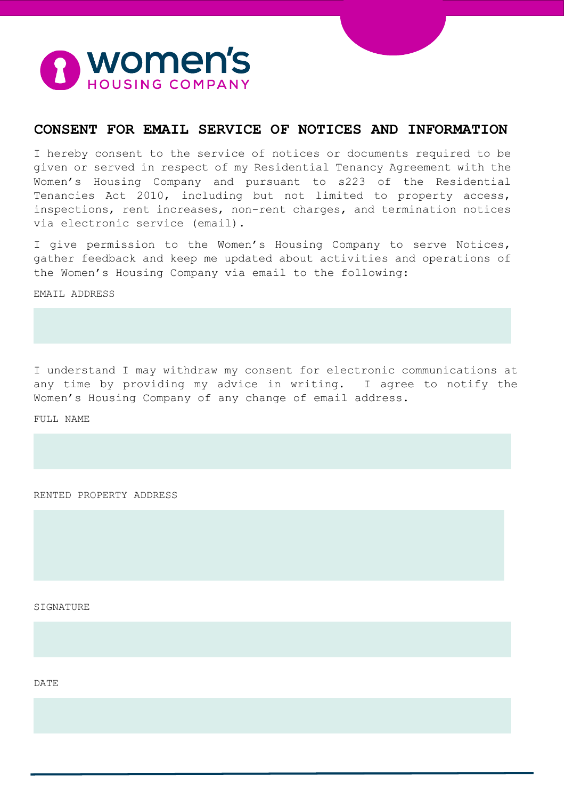

# **CONSENT FOR EMAIL SERVICE OF NOTICES AND INFORMATION**

I hereby consent to the service of notices or documents required to be given or served in respect of my Residential Tenancy Agreement with the Women's Housing Company and pursuant to s223 of the Residential Tenancies Act 2010, including but not limited to property access, inspections, rent increases, non-rent charges, and termination notices via electronic service (email).

I give permission to the Women's Housing Company to serve Notices, gather feedback and keep me updated about activities and operations of the Women's Housing Company via email to the following:

EMAIL ADDRESS

I understand I may withdraw my consent for electronic communications at any time by providing my advice in writing. I agree to notify the Women's Housing Company of any change of email address.

FULL NAME

RENTED PROPERTY ADDRESS

SIGNATURE

DATE